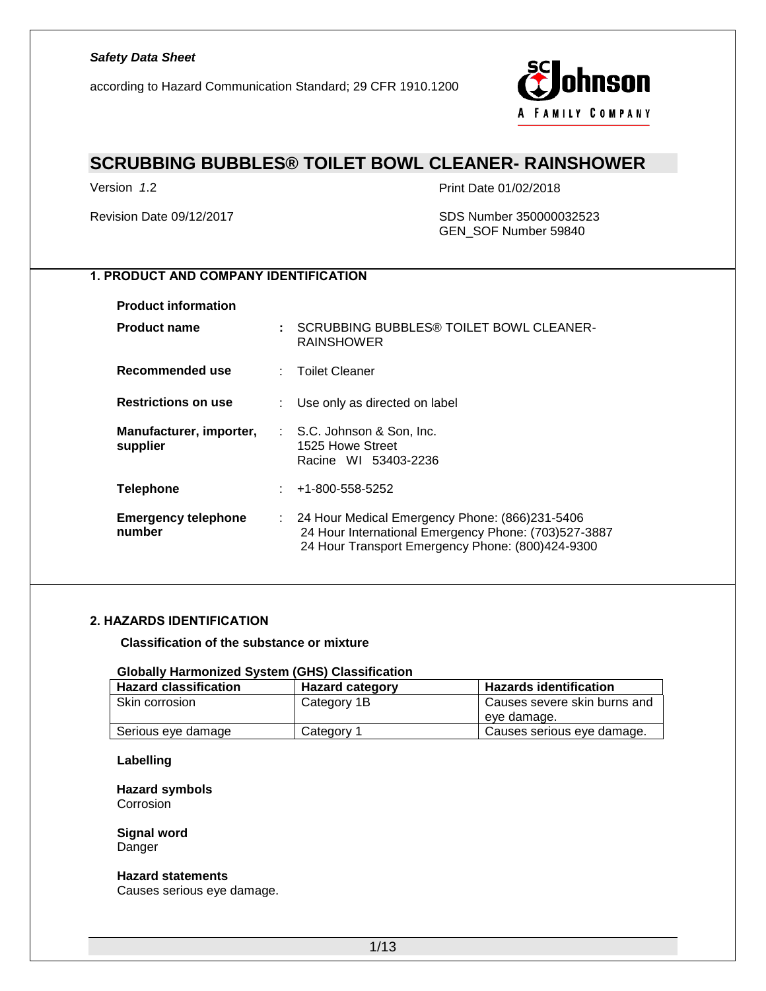according to Hazard Communication Standard; 29 CFR 1910.1200



# **SCRUBBING BUBBLES® TOILET BOWL CLEANER- RAINSHOWER**

Version *1*.2 Print Date 01/02/2018

#### Revision Date 09/12/2017 **SDS Number 350000032523** GEN\_SOF Number 59840

### *1. PRODUCT AND COMPANY IDENTIFICATION*

**Product information**

| <b>Product name</b>                  | : SCRUBBING BUBBLES® TOILET BOWL CLEANER-<br><b>RAINSHOWER</b>                                                                                               |
|--------------------------------------|--------------------------------------------------------------------------------------------------------------------------------------------------------------|
| Recommended use                      | : Toilet Cleaner                                                                                                                                             |
| <b>Restrictions on use</b>           | : Use only as directed on label                                                                                                                              |
| Manufacturer, importer,<br>supplier  | $\therefore$ S.C. Johnson & Son. Inc.<br>1525 Howe Street<br>Racine WI 53403-2236                                                                            |
| <b>Telephone</b>                     | $: 41-800-558-5252$                                                                                                                                          |
| <b>Emergency telephone</b><br>number | : 24 Hour Medical Emergency Phone: (866)231-5406<br>24 Hour International Emergency Phone: (703)527-3887<br>24 Hour Transport Emergency Phone: (800)424-9300 |

#### *2. HAZARDS IDENTIFICATION*

**Classification of the substance or mixture**

#### **Globally Harmonized System (GHS) Classification**

| <b>Hazard classification</b> | <b>Hazard category</b> | <b>Hazards identification</b> |
|------------------------------|------------------------|-------------------------------|
| Skin corrosion               | Category 1B            | Causes severe skin burns and  |
|                              |                        | eve damage.                   |
| Serious eye damage           | Category 1             | Causes serious eye damage.    |

#### **Labelling**

**Hazard symbols** Corrosion

**Signal word** Danger

#### **Hazard statements**

Causes serious eye damage.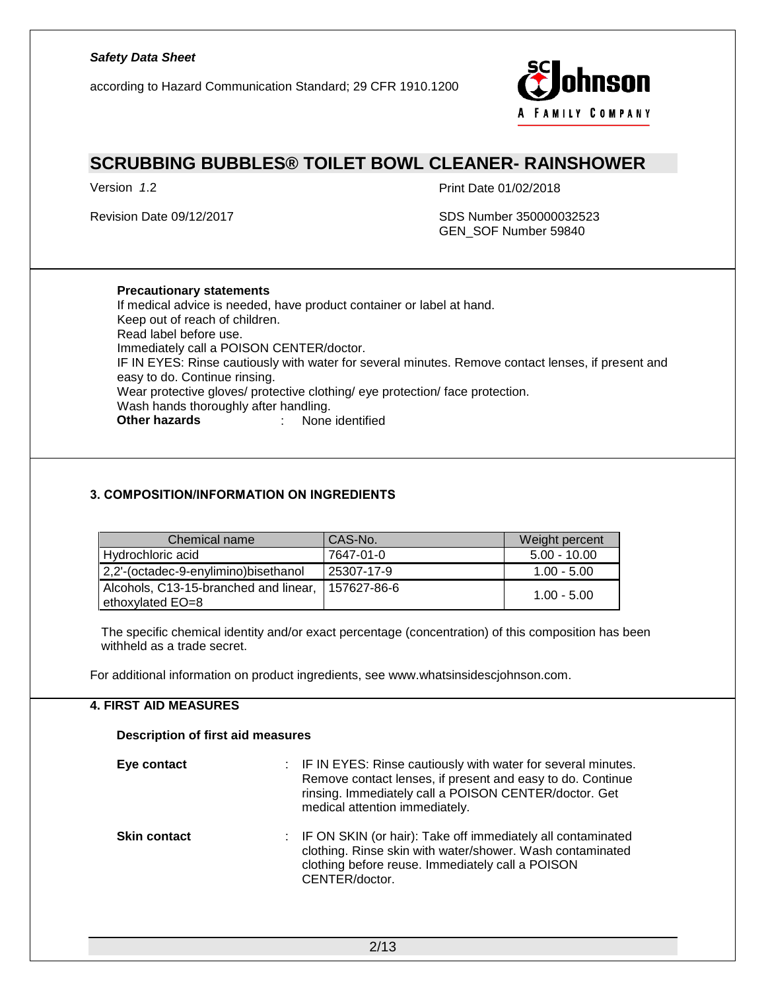according to Hazard Communication Standard; 29 CFR 1910.1200



### **SCRUBBING BUBBLES® TOILET BOWL CLEANER- RAINSHOWER**

Version *1*.2 Print Date 01/02/2018

Revision Date 09/12/2017 **SDS Number 350000032523** GEN\_SOF Number 59840

#### **Precautionary statements**

If medical advice is needed, have product container or label at hand. Keep out of reach of children. Read label before use. Immediately call a POISON CENTER/doctor. IF IN EYES: Rinse cautiously with water for several minutes. Remove contact lenses, if present and easy to do. Continue rinsing. Wear protective gloves/ protective clothing/ eye protection/ face protection. Wash hands thoroughly after handling. **Other hazards** : None identified

#### *3. COMPOSITION/INFORMATION ON INGREDIENTS*

| Chemical name                                             | CAS-No.     | Weight percent |
|-----------------------------------------------------------|-------------|----------------|
| Hydrochloric acid                                         | 7647-01-0   | $5.00 - 10.00$ |
| 2,2'-(octadec-9-enylimino)bisethanol                      | 25307-17-9  | $1.00 - 5.00$  |
| Alcohols, C13-15-branched and linear,<br>ethoxylated EO=8 | 157627-86-6 | $1.00 - 5.00$  |

The specific chemical identity and/or exact percentage (concentration) of this composition has been withheld as a trade secret.

For additional information on product ingredients, see www.whatsinsidescjohnson.com.

#### **4. FIRST AID MEASURES**

### **Description of first aid measures Eye contact EXELL EXECT:** IF IN EYES: Rinse cautiously with water for several minutes. Remove contact lenses, if present and easy to do. Continue rinsing. Immediately call a POISON CENTER/doctor. Get medical attention immediately. **Skin contact** : IF ON SKIN (or hair): Take off immediately all contaminated clothing. Rinse skin with water/shower. Wash contaminated clothing before reuse. Immediately call a POISON CENTER/doctor.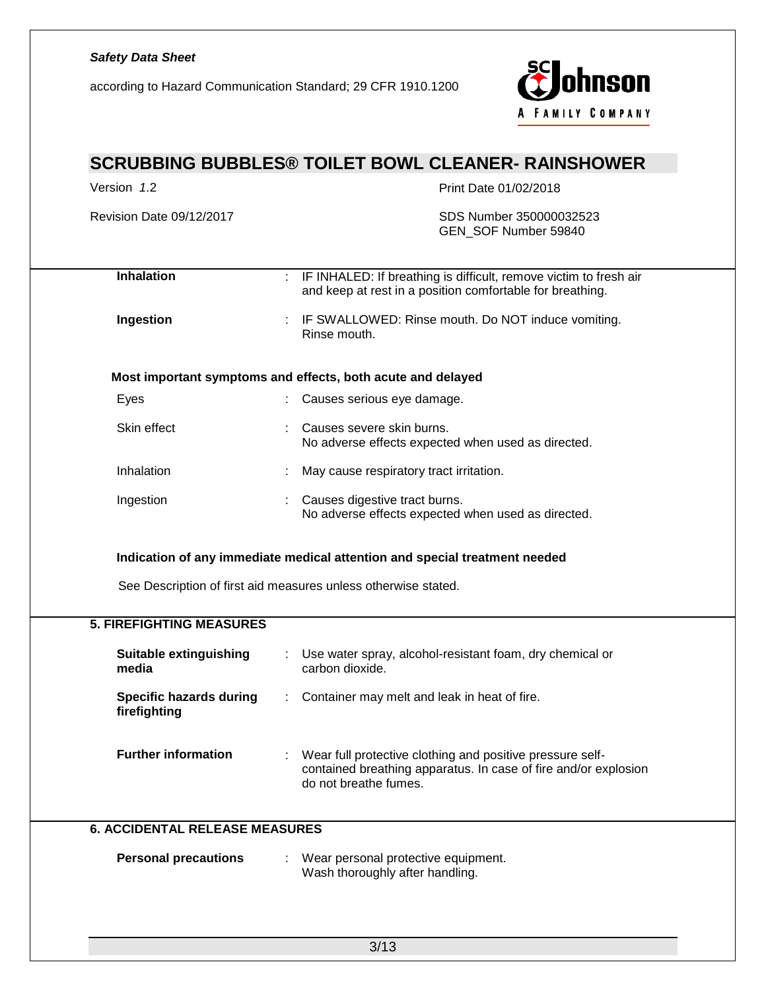according to Hazard Communication Standard; 29 CFR 1910.1200



| Version 1.2                                                          | Print Date 01/02/2018                                                                                                                                 |  |  |
|----------------------------------------------------------------------|-------------------------------------------------------------------------------------------------------------------------------------------------------|--|--|
| Revision Date 09/12/2017                                             | SDS Number 350000032523<br>GEN_SOF Number 59840                                                                                                       |  |  |
| Inhalation                                                           | : IF INHALED: If breathing is difficult, remove victim to fresh air<br>and keep at rest in a position comfortable for breathing.                      |  |  |
| Ingestion                                                            | IF SWALLOWED: Rinse mouth. Do NOT induce vomiting.<br>Rinse mouth.                                                                                    |  |  |
|                                                                      | Most important symptoms and effects, both acute and delayed                                                                                           |  |  |
| Eyes                                                                 | : Causes serious eye damage.                                                                                                                          |  |  |
| Skin effect                                                          | Causes severe skin burns.<br>No adverse effects expected when used as directed.                                                                       |  |  |
| Inhalation                                                           | May cause respiratory tract irritation.                                                                                                               |  |  |
| Ingestion                                                            | Causes digestive tract burns.<br>No adverse effects expected when used as directed.                                                                   |  |  |
| <b>5. FIREFIGHTING MEASURES</b>                                      | See Description of first aid measures unless otherwise stated.                                                                                        |  |  |
|                                                                      |                                                                                                                                                       |  |  |
|                                                                      | Use water spray, alcohol-resistant foam, dry chemical or                                                                                              |  |  |
| <b>Suitable extinguishing</b><br>media                               | carbon dioxide.                                                                                                                                       |  |  |
| <b>Specific hazards during</b><br>firefighting                       | : Container may melt and leak in heat of fire.                                                                                                        |  |  |
| <b>Further information</b>                                           | Wear full protective clothing and positive pressure self-<br>contained breathing apparatus. In case of fire and/or explosion<br>do not breathe fumes. |  |  |
|                                                                      |                                                                                                                                                       |  |  |
| <b>6. ACCIDENTAL RELEASE MEASURES</b><br><b>Personal precautions</b> | Wear personal protective equipment.<br>Wash thoroughly after handling.                                                                                |  |  |
|                                                                      |                                                                                                                                                       |  |  |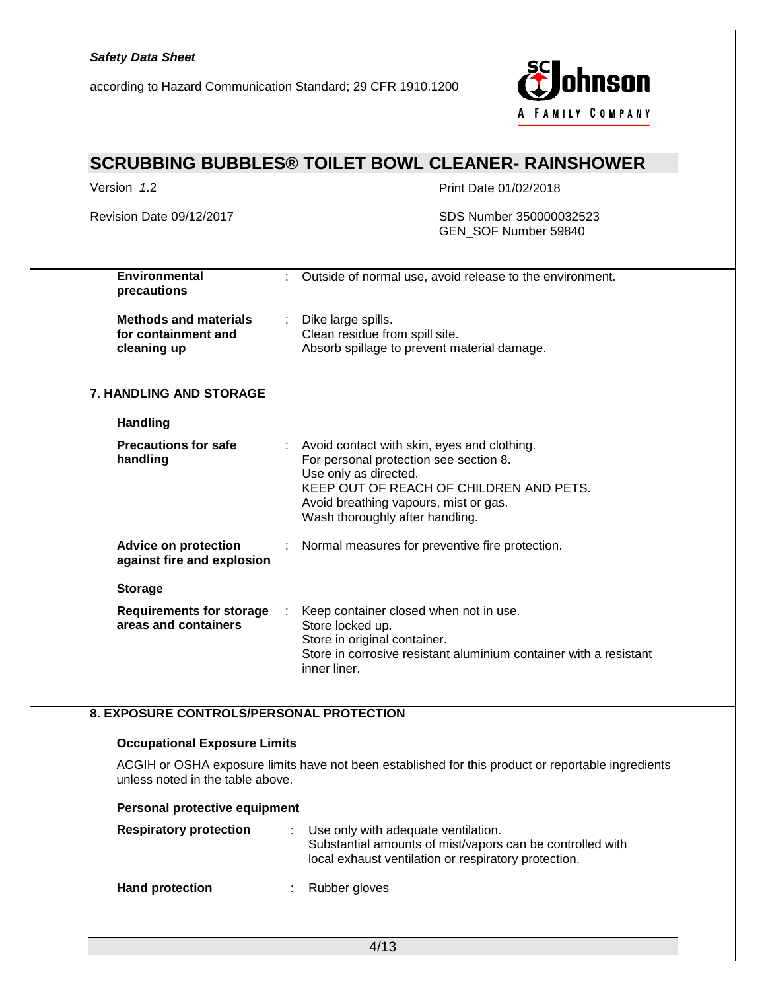### *Safety Data Sheet* ohnson according to Hazard Communication Standard; 29 CFR 1910.1200 A FAMILY COMPANY **SCRUBBING BUBBLES® TOILET BOWL CLEANER- RAINSHOWER** Version 1.2 **Print Date 01/02/2018** Revision Date 09/12/2017 **SDS Number 350000032523** GEN\_SOF Number 59840 **Environmental**  : Outside of normal use, avoid release to the environment. **precautions Methods and materials**  : Dike large spills. **for containment and**  Clean residue from spill site. Absorb spillage to prevent material damage. **cleaning up 7. HANDLING AND STORAGE Handling Precautions for safe**  : Avoid contact with skin, eyes and clothing. For personal protection see section 8. **handling** Use only as directed. KEEP OUT OF REACH OF CHILDREN AND PETS. Avoid breathing vapours, mist or gas. Wash thoroughly after handling. **Advice on protection**  : Normal measures for preventive fire protection. **against fire and explosion Storage Requirements for storage**  : Keep container closed when not in use. **areas and containers** Store locked up. Store in original container. Store in corrosive resistant aluminium container with a resistant inner liner. **8. EXPOSURE CONTROLS/PERSONAL PROTECTION Occupational Exposure Limits** ACGIH or OSHA exposure limits have not been established for this product or reportable ingredients unless noted in the table above. **Personal protective equipment Respiratory protection** : Use only with adequate ventilation. Substantial amounts of mist/vapors can be controlled with

local exhaust ventilation or respiratory protection.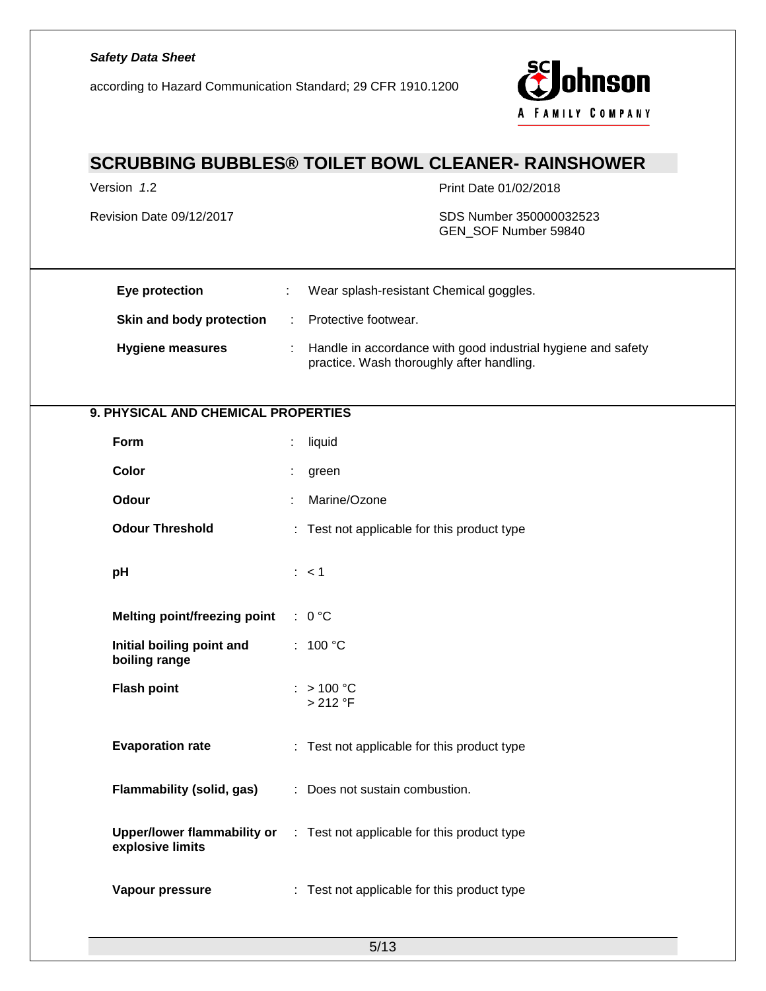# *Safety Data Sheet* ohnson according to Hazard Communication Standard; 29 CFR 1910.1200 A FAMILY COMPANY **SCRUBBING BUBBLES® TOILET BOWL CLEANER- RAINSHOWER** Version 1.2 **Print Date 01/02/2018** Revision Date 09/12/2017 **SDS Number 350000032523** GEN\_SOF Number 59840 **Eye protection** : Wear splash-resistant Chemical goggles. **Skin and body protection : Protective footwear. Hygiene measures** : Handle in accordance with good industrial hygiene and safety practice. Wash thoroughly after handling. **9. PHYSICAL AND CHEMICAL PROPERTIES Form** : liquid **Color** : green **Odour** : Marine/Ozone **Odour Threshold** : Test not applicable for this product type **pH**  $: <1$ **Melting point/freezing point** : 0 °C **Initial boiling point and**  : 100 °C **boiling range Flash point**  $: > 100 °C$ > 212 °F **Evaporation rate** : Test not applicable for this product type **Flammability (solid, gas)** : Does not sustain combustion. **Upper/lower flammability or**  : Test not applicable for this product type **explosive limits Vapour pressure** : Test not applicable for this product type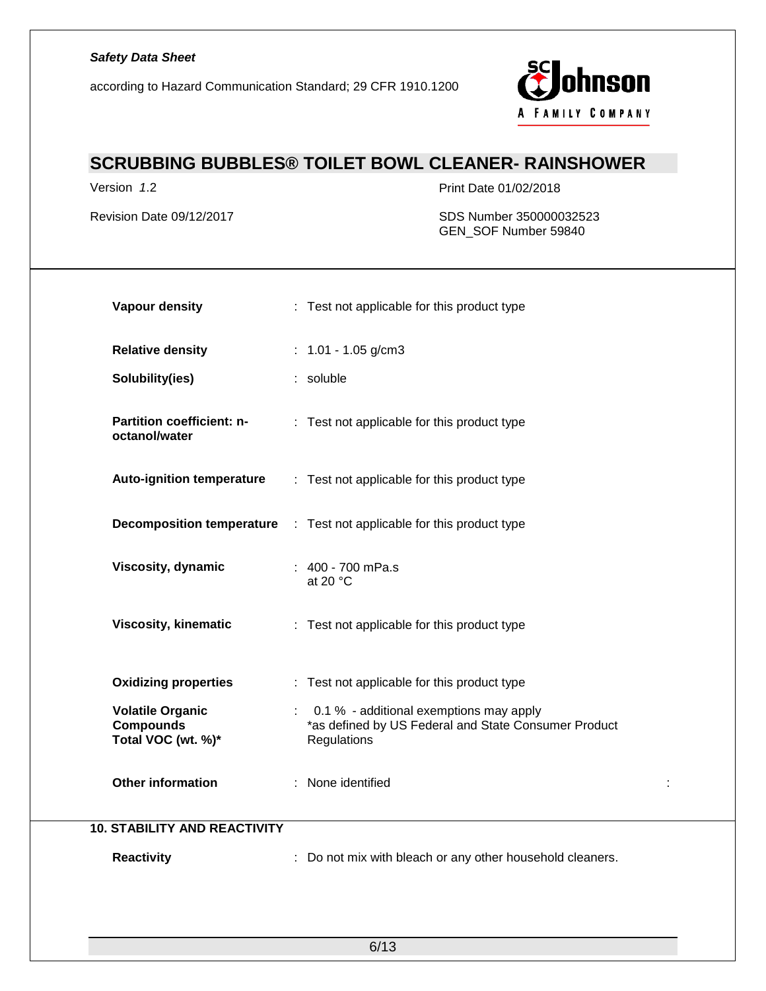according to Hazard Communication Standard; 29 CFR 1910.1200



# **SCRUBBING BUBBLES® TOILET BOWL CLEANER- RAINSHOWER**

Version *1*.2 Print Date 01/02/2018

Revision Date 09/12/2017 SDS Number 350000032523 GEN\_SOF Number 59840

| <b>Vapour density</b>                                             | : Test not applicable for this product type                                                                          |  |
|-------------------------------------------------------------------|----------------------------------------------------------------------------------------------------------------------|--|
| <b>Relative density</b>                                           | : $1.01 - 1.05$ g/cm3                                                                                                |  |
| Solubility(ies)                                                   | : soluble                                                                                                            |  |
| Partition coefficient: n-<br>octanol/water                        | : Test not applicable for this product type                                                                          |  |
| <b>Auto-ignition temperature</b>                                  | : Test not applicable for this product type                                                                          |  |
|                                                                   | <b>Decomposition temperature</b> : Test not applicable for this product type                                         |  |
| Viscosity, dynamic                                                | : 400 - 700 mPa.s<br>at 20 $\degree$ C                                                                               |  |
| <b>Viscosity, kinematic</b>                                       | : Test not applicable for this product type                                                                          |  |
| <b>Oxidizing properties</b>                                       | : Test not applicable for this product type                                                                          |  |
| <b>Volatile Organic</b><br><b>Compounds</b><br>Total VOC (wt. %)* | 0.1 % - additional exemptions may apply<br>t.<br>*as defined by US Federal and State Consumer Product<br>Regulations |  |
| <b>Other information</b>                                          | : None identified                                                                                                    |  |
| <b>10. STABILITY AND REACTIVITY</b>                               |                                                                                                                      |  |
| <b>Reactivity</b>                                                 | : Do not mix with bleach or any other household cleaners.                                                            |  |

6/13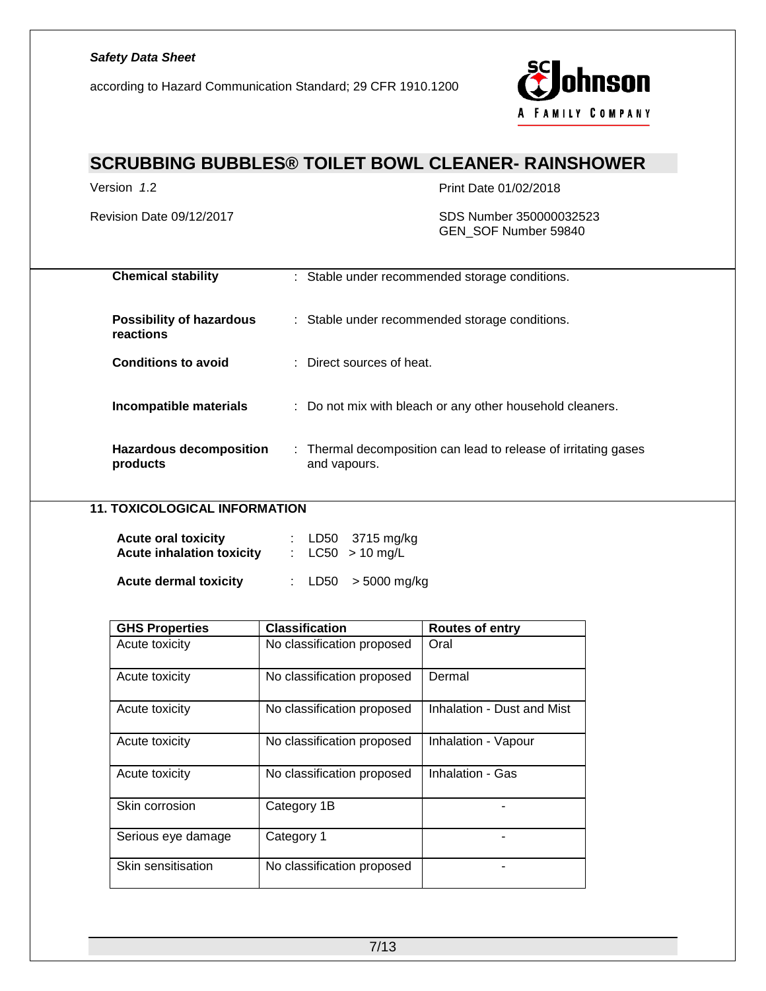according to Hazard Communication Standard; 29 CFR 1910.1200



# **SCRUBBING BUBBLES® TOILET BOWL CLEANER- RAINSHOWER**

Version *1*.2 Print Date 01/02/2018

#### Revision Date 09/12/2017 SDS Number 350000032523 GEN\_SOF Number 59840

| <b>Chemical stability</b>                    | : Stable under recommended storage conditions.                                  |
|----------------------------------------------|---------------------------------------------------------------------------------|
| <b>Possibility of hazardous</b><br>reactions | : Stable under recommended storage conditions.                                  |
| <b>Conditions to avoid</b>                   | $\therefore$ Direct sources of heat.                                            |
| Incompatible materials                       | : Do not mix with bleach or any other household cleaners.                       |
| Hazardous decomposition<br>products          | : Thermal decomposition can lead to release of irritating gases<br>and vapours. |

### **11. TOXICOLOGICAL INFORMATION**

| <b>Acute oral toxicity</b><br><b>Acute inhalation toxicity</b> |  | : $LD50$ 3715 mg/kg<br>: $LC50 > 10$ mg/L |
|----------------------------------------------------------------|--|-------------------------------------------|
| <b>Acute dermal toxicity</b>                                   |  | : $LD50 > 5000$ mg/kg                     |

| <b>GHS Properties</b> | <b>Classification</b>      | <b>Routes of entry</b>     |
|-----------------------|----------------------------|----------------------------|
| Acute toxicity        | No classification proposed | Oral                       |
| Acute toxicity        | No classification proposed | Dermal                     |
| Acute toxicity        | No classification proposed | Inhalation - Dust and Mist |
| Acute toxicity        | No classification proposed | Inhalation - Vapour        |
| Acute toxicity        | No classification proposed | Inhalation - Gas           |
| Skin corrosion        | Category 1B                |                            |
| Serious eye damage    | Category 1                 |                            |
| Skin sensitisation    | No classification proposed |                            |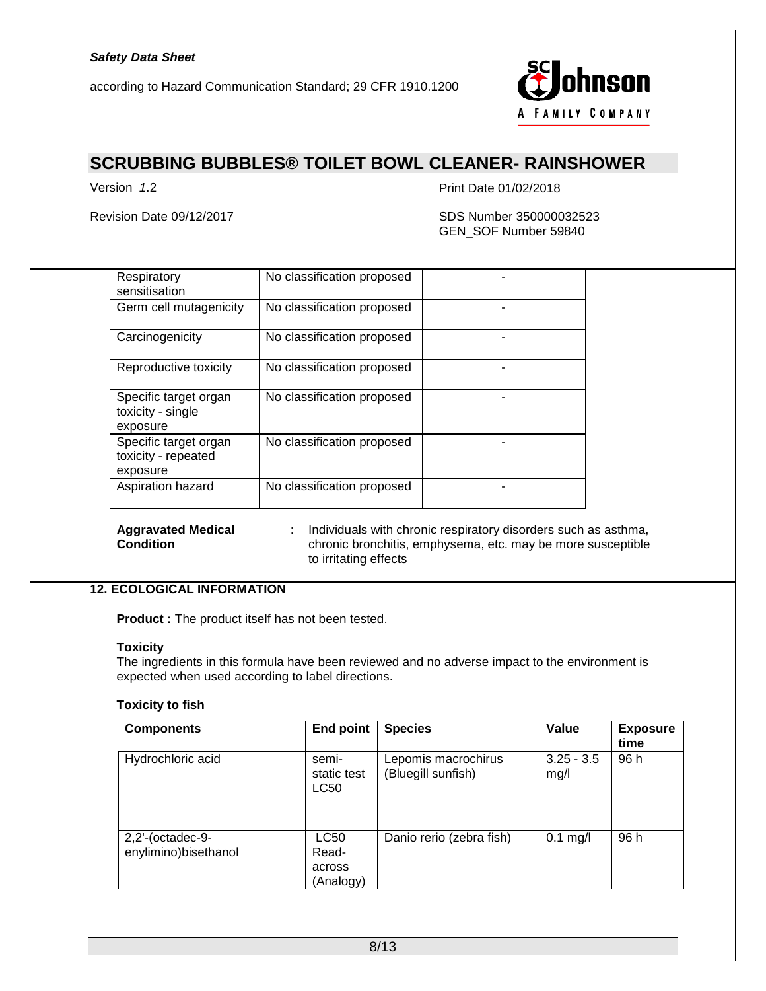according to Hazard Communication Standard; 29 CFR 1910.1200



# **SCRUBBING BUBBLES® TOILET BOWL CLEANER- RAINSHOWER**

Version *1*.2 Print Date 01/02/2018

Revision Date 09/12/2017 **SDS Number 350000032523** GEN\_SOF Number 59840

| Respiratory<br>sensitisation                             | No classification proposed |  |
|----------------------------------------------------------|----------------------------|--|
| Germ cell mutagenicity                                   | No classification proposed |  |
| Carcinogenicity                                          | No classification proposed |  |
| Reproductive toxicity                                    | No classification proposed |  |
| Specific target organ<br>toxicity - single<br>exposure   | No classification proposed |  |
| Specific target organ<br>toxicity - repeated<br>exposure | No classification proposed |  |
| Aspiration hazard                                        | No classification proposed |  |

**Aggravated Medical Condition**

: Individuals with chronic respiratory disorders such as asthma, chronic bronchitis, emphysema, etc. may be more susceptible to irritating effects

#### **12. ECOLOGICAL INFORMATION**

**Product :** The product itself has not been tested.

#### **Toxicity**

The ingredients in this formula have been reviewed and no adverse impact to the environment is expected when used according to label directions.

#### **Toxicity to fish**

| <b>Components</b>                           | <b>End point</b>                     | <b>Species</b>                            | Value                | <b>Exposure</b><br>time |
|---------------------------------------------|--------------------------------------|-------------------------------------------|----------------------|-------------------------|
| Hydrochloric acid                           | semi-<br>static test<br><b>LC50</b>  | Lepomis macrochirus<br>(Bluegill sunfish) | $3.25 - 3.5$<br>mg/l | 96 h                    |
| $2,2'$ -(octadec-9-<br>enylimino)bisethanol | LC50<br>Read-<br>across<br>(Analogy) | Danio rerio (zebra fish)                  | $0.1$ mg/l           | 96 h                    |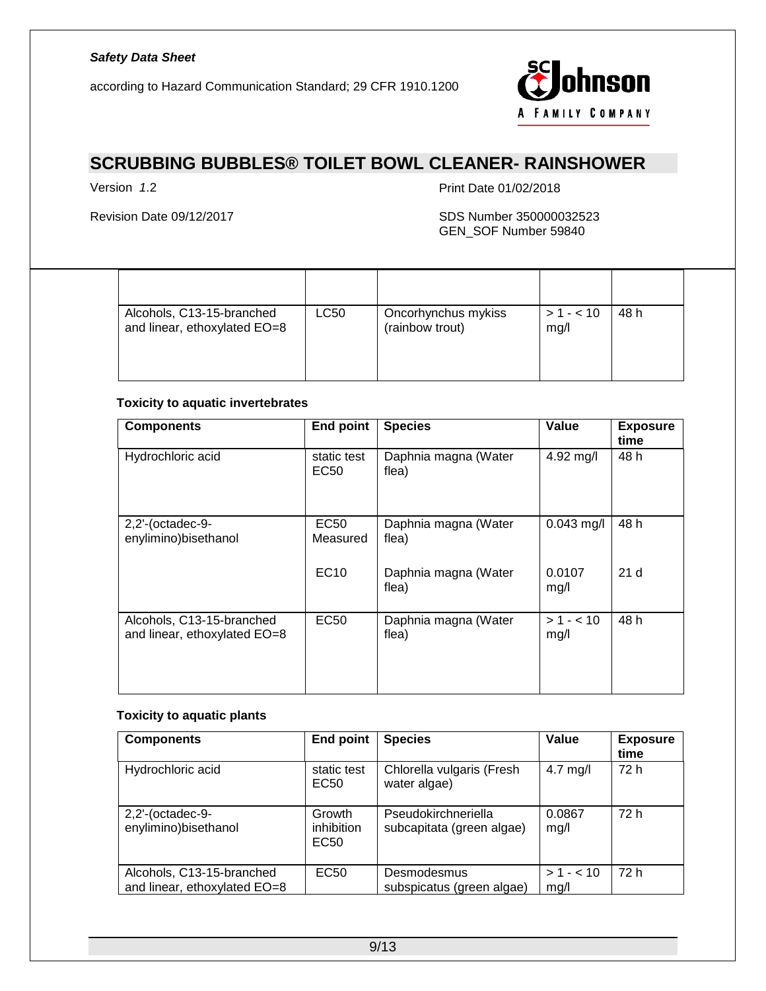according to Hazard Communication Standard; 29 CFR 1910.1200



# **SCRUBBING BUBBLES® TOILET BOWL CLEANER- RAINSHOWER**

Version *1*.2 Print Date 01/02/2018

#### Revision Date 09/12/2017 SDS Number 350000032523 GEN\_SOF Number 59840

| Alcohols, C13-15-branched<br>and linear, ethoxylated EO=8 | LC50 | Oncorhynchus mykiss<br>(rainbow trout) | $> 1 - 10$<br>mg/l | 48 h |  |
|-----------------------------------------------------------|------|----------------------------------------|--------------------|------|--|

#### **Toxicity to aquatic invertebrates**

| <b>Components</b>                                         | <b>End point</b>           | <b>Species</b>                | Value             | <b>Exposure</b><br>time |
|-----------------------------------------------------------|----------------------------|-------------------------------|-------------------|-------------------------|
| Hydrochloric acid                                         | static test<br><b>EC50</b> | Daphnia magna (Water<br>flea) | 4.92 mg/l         | 48 h                    |
| $2,2'$ -(octadec-9-<br>enylimino)bisethanol               | EC50<br>Measured           | Daphnia magna (Water<br>flea) | $0.043$ mg/l      | 48 h                    |
|                                                           | EC10                       | Daphnia magna (Water<br>flea) | 0.0107<br>mg/l    | 21 <sub>d</sub>         |
| Alcohols, C13-15-branched<br>and linear, ethoxylated EO=8 | <b>EC50</b>                | Daphnia magna (Water<br>flea) | $>1 - 10$<br>mg/l | 48 h                    |

#### **Toxicity to aquatic plants**

| <b>Components</b>                                         | <b>End point</b>             | <b>Species</b>                                   | Value             | <b>Exposure</b><br>time |
|-----------------------------------------------------------|------------------------------|--------------------------------------------------|-------------------|-------------------------|
| Hydrochloric acid                                         | static test<br>EC50          | Chlorella vulgaris (Fresh<br>water algae)        | $4.7$ mg/l        | 72 h                    |
| $2,2'$ -(octadec-9-<br>enylimino)bisethanol               | Growth<br>inhibition<br>EC50 | Pseudokirchneriella<br>subcapitata (green algae) | 0.0867<br>mg/l    | 72 h                    |
| Alcohols, C13-15-branched<br>and linear, ethoxylated EO=8 | <b>EC50</b>                  | Desmodesmus<br>subspicatus (green algae)         | $>1 - 10$<br>mg/l | 72 h                    |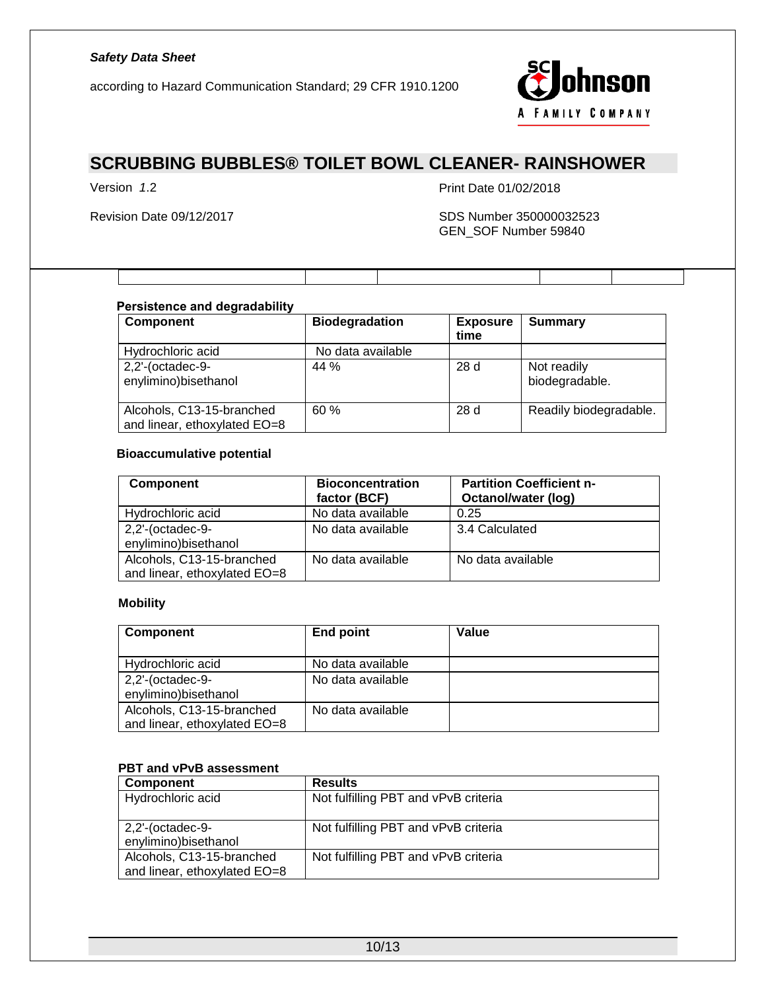according to Hazard Communication Standard; 29 CFR 1910.1200



# **SCRUBBING BUBBLES® TOILET BOWL CLEANER- RAINSHOWER**

Version *1*.2 Print Date 01/02/2018

#### Revision Date 09/12/2017 SDS Number 350000032523 GEN\_SOF Number 59840

#### *Persistence and degradability*

| <b>Component</b>                                          | <b>Biodegradation</b> | <b>Exposure</b><br>time | <b>Summary</b>                |
|-----------------------------------------------------------|-----------------------|-------------------------|-------------------------------|
| Hydrochloric acid                                         | No data available     |                         |                               |
| $2,2'$ -(octadec-9-<br>enylimino)bisethanol               | 44 %                  | 28d                     | Not readily<br>biodegradable. |
| Alcohols, C13-15-branched<br>and linear, ethoxylated EO=8 | 60%                   | 28d                     | Readily biodegradable.        |

#### **Bioaccumulative potential**

| <b>Component</b>                                          | <b>Bioconcentration</b><br>factor (BCF) | <b>Partition Coefficient n-</b><br>Octanol/water (log) |
|-----------------------------------------------------------|-----------------------------------------|--------------------------------------------------------|
| Hydrochloric acid                                         | No data available                       | 0.25                                                   |
| $2,2'$ -(octadec-9-<br>enylimino)bisethanol               | No data available                       | 3.4 Calculated                                         |
| Alcohols, C13-15-branched<br>and linear, ethoxylated EO=8 | No data available                       | No data available                                      |

#### **Mobility**

| Component                                                 | End point         | Value |
|-----------------------------------------------------------|-------------------|-------|
| Hydrochloric acid                                         | No data available |       |
| $2,2'$ -(octadec-9-<br>enylimino)bisethanol               | No data available |       |
| Alcohols, C13-15-branched<br>and linear, ethoxylated EO=8 | No data available |       |

#### **PBT and vPvB assessment**

| Component                    | <b>Results</b>                       |
|------------------------------|--------------------------------------|
| Hydrochloric acid            | Not fulfilling PBT and vPvB criteria |
|                              |                                      |
| $2,2'$ -(octadec-9-          | Not fulfilling PBT and vPvB criteria |
| enylimino)bisethanol         |                                      |
| Alcohols, C13-15-branched    | Not fulfilling PBT and vPvB criteria |
| and linear, ethoxylated EO=8 |                                      |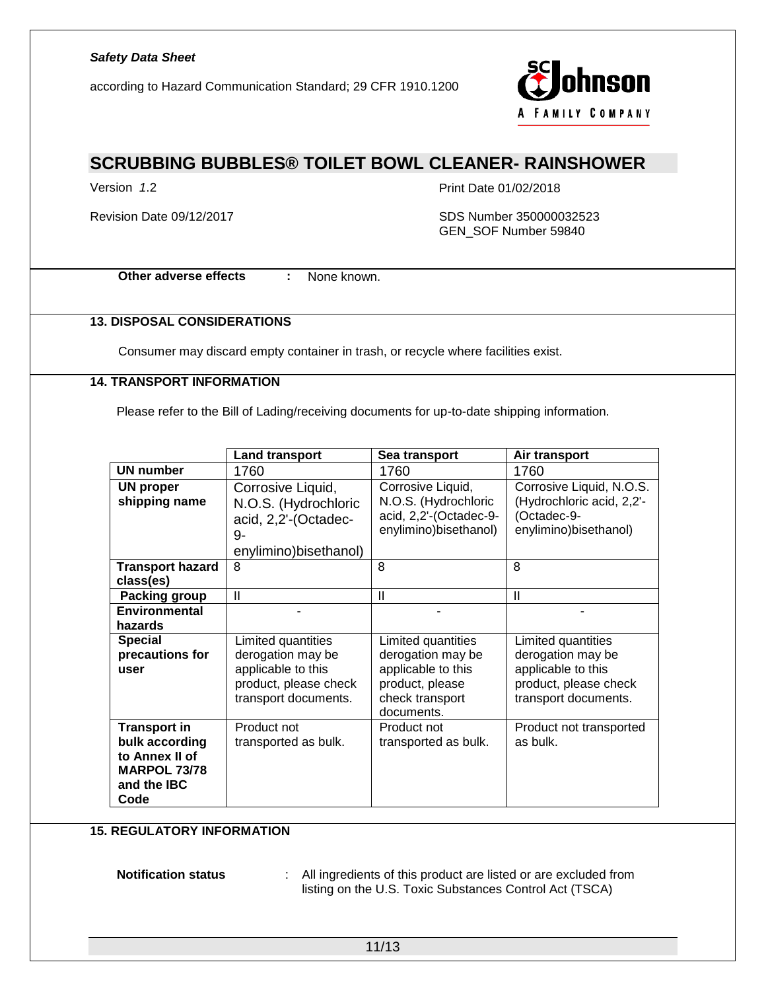according to Hazard Communication Standard; 29 CFR 1910.1200



## **SCRUBBING BUBBLES® TOILET BOWL CLEANER- RAINSHOWER**

Version *1*.2 Print Date 01/02/2018

Revision Date 09/12/2017 **SDS Number 350000032523** GEN\_SOF Number 59840

**Other adverse effects :** None known.

#### **13. DISPOSAL CONSIDERATIONS**

Consumer may discard empty container in trash, or recycle where facilities exist.

### **14. TRANSPORT INFORMATION**

Please refer to the Bill of Lading/receiving documents for up-to-date shipping information.

|                                                                                                              | <b>Land transport</b>                                                                                          | Sea transport                                                                                                     | Air transport                                                                                                  |
|--------------------------------------------------------------------------------------------------------------|----------------------------------------------------------------------------------------------------------------|-------------------------------------------------------------------------------------------------------------------|----------------------------------------------------------------------------------------------------------------|
| <b>UN number</b>                                                                                             | 1760                                                                                                           | 1760                                                                                                              | 1760                                                                                                           |
| <b>UN proper</b><br>shipping name                                                                            | Corrosive Liquid,<br>N.O.S. (Hydrochloric<br>acid, 2,2'-(Octadec-<br>9-<br>enylimino)bisethanol)<br>8          | Corrosive Liquid,<br>N.O.S. (Hydrochloric<br>acid, 2,2'-(Octadec-9-<br>enylimino)bisethanol)<br>8                 | Corrosive Liquid, N.O.S.<br>(Hydrochloric acid, 2,2'-<br>(Octadec-9-<br>enylimino)bisethanol)<br>8             |
| <b>Transport hazard</b><br>class(es)                                                                         |                                                                                                                |                                                                                                                   |                                                                                                                |
| <b>Packing group</b>                                                                                         | $\mathbf{I}$                                                                                                   | $\mathbf{I}$                                                                                                      | $\mathbf{I}$                                                                                                   |
| <b>Environmental</b><br>hazards                                                                              |                                                                                                                |                                                                                                                   |                                                                                                                |
| <b>Special</b><br>precautions for<br>user                                                                    | Limited quantities<br>derogation may be<br>applicable to this<br>product, please check<br>transport documents. | Limited quantities<br>derogation may be<br>applicable to this<br>product, please<br>check transport<br>documents. | Limited quantities<br>derogation may be<br>applicable to this<br>product, please check<br>transport documents. |
| <b>Transport in</b><br>bulk according<br>to Annex II of<br><b>MARPOL 73/78</b><br>and the <b>IBC</b><br>Code | Product not<br>transported as bulk.                                                                            | Product not<br>transported as bulk.                                                                               | Product not transported<br>as bulk.                                                                            |

#### **15. REGULATORY INFORMATION**

**Notification status** : All ingredients of this product are listed or are excluded from listing on the U.S. Toxic Substances Control Act (TSCA)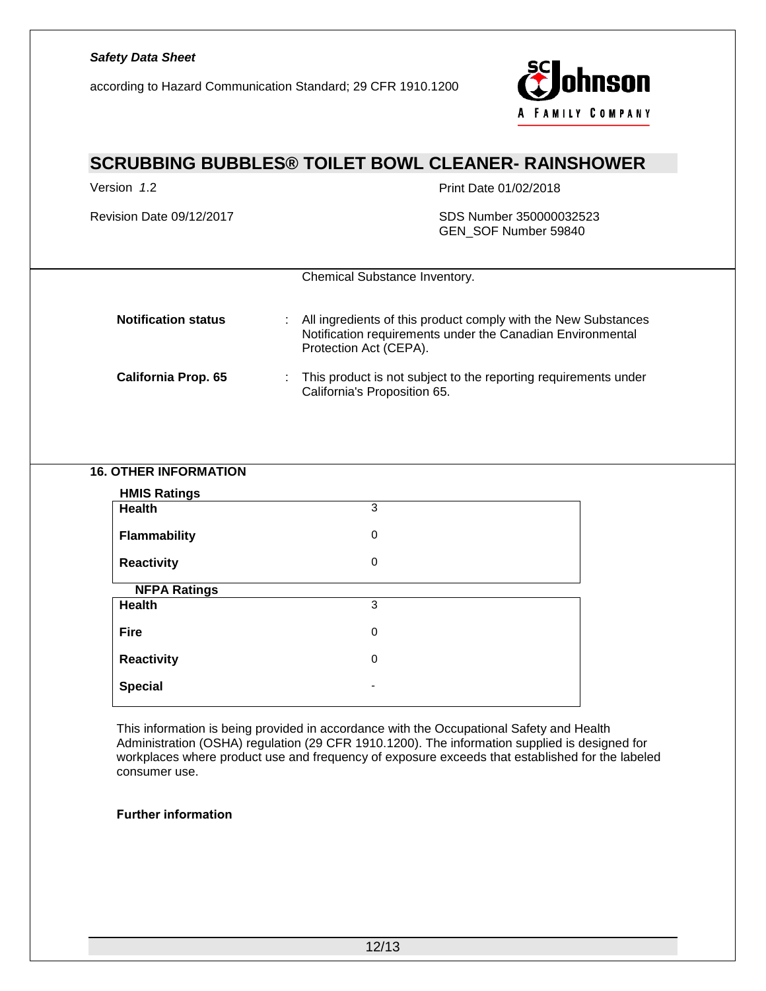according to Hazard Communication Standard; 29 CFR 1910.1200



# **SCRUBBING BUBBLES® TOILET BOWL CLEANER- RAINSHOWER**

Version *1*.2 Print Date 01/02/2018

Revision Date 09/12/2017 **SDS Number 350000032523** GEN\_SOF Number 59840

|                            | Chemical Substance Inventory.                                                                                                                          |
|----------------------------|--------------------------------------------------------------------------------------------------------------------------------------------------------|
| <b>Notification status</b> | All ingredients of this product comply with the New Substances<br>Notification requirements under the Canadian Environmental<br>Protection Act (CEPA). |
| <b>California Prop. 65</b> | This product is not subject to the reporting requirements under                                                                                        |

California's Proposition 65.

### **16. OTHER INFORMATION**

| <b>HMIS Ratings</b> |   |  |
|---------------------|---|--|
| <b>Health</b>       | 3 |  |
| <b>Flammability</b> | 0 |  |
| <b>Reactivity</b>   | 0 |  |
| <b>NFPA Ratings</b> |   |  |
| <b>Health</b>       | 3 |  |
| <b>Fire</b>         | 0 |  |
| <b>Reactivity</b>   | 0 |  |
| <b>Special</b>      |   |  |

This information is being provided in accordance with the Occupational Safety and Health Administration (OSHA) regulation (29 CFR 1910.1200). The information supplied is designed for workplaces where product use and frequency of exposure exceeds that established for the labeled consumer use.

#### *Further information*